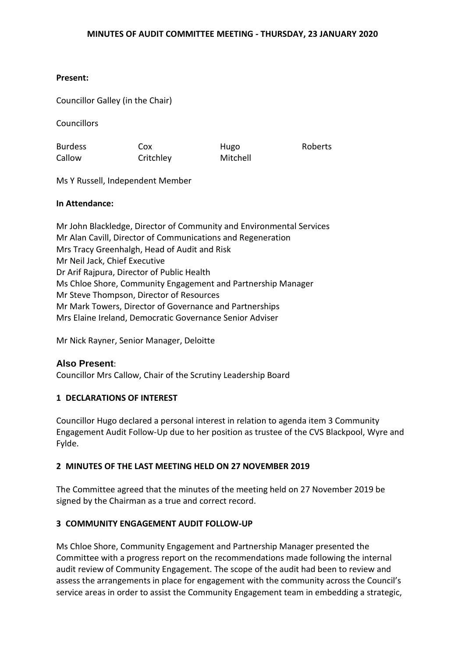# **Present:**

Councillor Galley (in the Chair)

Councillors

Burdess Callow

Cox **Critchley** 

Hugo Mitchell Roberts

Ms Y Russell, Independent Member

# **In Attendance:**

Mr John Blackledge, Director of Community and Environmental Services Mr Alan Cavill, Director of Communications and Regeneration Mrs Tracy Greenhalgh, Head of Audit and Risk Mr Neil Jack, Chief Executive Dr Arif Rajpura, Director of Public Health Ms Chloe Shore, Community Engagement and Partnership Manager Mr Steve Thompson, Director of Resources Mr Mark Towers, Director of Governance and Partnerships Mrs Elaine Ireland, Democratic Governance Senior Adviser

Mr Nick Rayner, Senior Manager, Deloitte

# **Also Present**:

Councillor Mrs Callow, Chair of the Scrutiny Leadership Board

# **1 DECLARATIONS OF INTEREST**

Councillor Hugo declared a personal interest in relation to agenda item 3 Community Engagement Audit Follow-Up due to her position as trustee of the CVS Blackpool, Wyre and Fylde.

# **2 MINUTES OF THE LAST MEETING HELD ON 27 NOVEMBER 2019**

The Committee agreed that the minutes of the meeting held on 27 November 2019 be signed by the Chairman as a true and correct record.

# **3 COMMUNITY ENGAGEMENT AUDIT FOLLOW-UP**

Ms Chloe Shore, Community Engagement and Partnership Manager presented the Committee with a progress report on the recommendations made following the internal audit review of Community Engagement. The scope of the audit had been to review and assess the arrangements in place for engagement with the community across the Council's service areas in order to assist the Community Engagement team in embedding a strategic,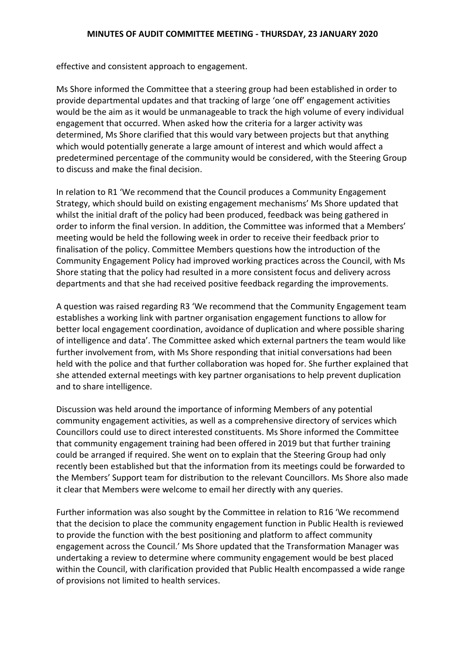effective and consistent approach to engagement.

Ms Shore informed the Committee that a steering group had been established in order to provide departmental updates and that tracking of large 'one off' engagement activities would be the aim as it would be unmanageable to track the high volume of every individual engagement that occurred. When asked how the criteria for a larger activity was determined, Ms Shore clarified that this would vary between projects but that anything which would potentially generate a large amount of interest and which would affect a predetermined percentage of the community would be considered, with the Steering Group to discuss and make the final decision.

In relation to R1 'We recommend that the Council produces a Community Engagement Strategy, which should build on existing engagement mechanisms' Ms Shore updated that whilst the initial draft of the policy had been produced, feedback was being gathered in order to inform the final version. In addition, the Committee was informed that a Members' meeting would be held the following week in order to receive their feedback prior to finalisation of the policy. Committee Members questions how the introduction of the Community Engagement Policy had improved working practices across the Council, with Ms Shore stating that the policy had resulted in a more consistent focus and delivery across departments and that she had received positive feedback regarding the improvements.

A question was raised regarding R3 'We recommend that the Community Engagement team establishes a working link with partner organisation engagement functions to allow for better local engagement coordination, avoidance of duplication and where possible sharing of intelligence and data'. The Committee asked which external partners the team would like further involvement from, with Ms Shore responding that initial conversations had been held with the police and that further collaboration was hoped for. She further explained that she attended external meetings with key partner organisations to help prevent duplication and to share intelligence.

Discussion was held around the importance of informing Members of any potential community engagement activities, as well as a comprehensive directory of services which Councillors could use to direct interested constituents. Ms Shore informed the Committee that community engagement training had been offered in 2019 but that further training could be arranged if required. She went on to explain that the Steering Group had only recently been established but that the information from its meetings could be forwarded to the Members' Support team for distribution to the relevant Councillors. Ms Shore also made it clear that Members were welcome to email her directly with any queries.

Further information was also sought by the Committee in relation to R16 'We recommend that the decision to place the community engagement function in Public Health is reviewed to provide the function with the best positioning and platform to affect community engagement across the Council.' Ms Shore updated that the Transformation Manager was undertaking a review to determine where community engagement would be best placed within the Council, with clarification provided that Public Health encompassed a wide range of provisions not limited to health services.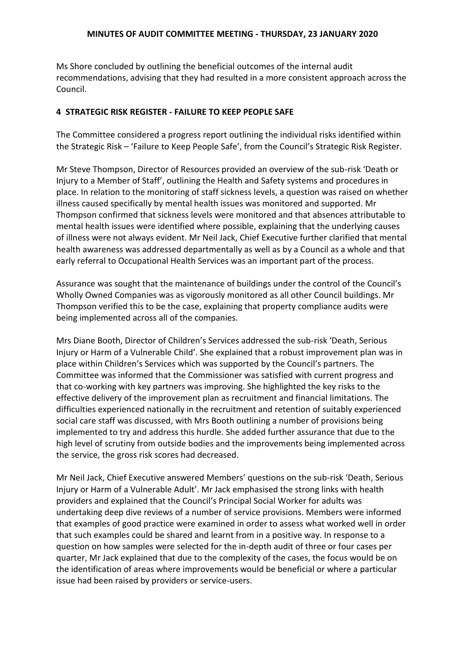#### **MINUTES OF AUDIT COMMITTEE MEETING - THURSDAY, 23 JANUARY 2020**

Ms Shore concluded by outlining the beneficial outcomes of the internal audit recommendations, advising that they had resulted in a more consistent approach across the Council.

# **4 STRATEGIC RISK REGISTER - FAILURE TO KEEP PEOPLE SAFE**

The Committee considered a progress report outlining the individual risks identified within the Strategic Risk – 'Failure to Keep People Safe', from the Council's Strategic Risk Register.

Mr Steve Thompson, Director of Resources provided an overview of the sub-risk 'Death or Injury to a Member of Staff', outlining the Health and Safety systems and procedures in place. In relation to the monitoring of staff sickness levels, a question was raised on whether illness caused specifically by mental health issues was monitored and supported. Mr Thompson confirmed that sickness levels were monitored and that absences attributable to mental health issues were identified where possible, explaining that the underlying causes of illness were not always evident. Mr Neil Jack, Chief Executive further clarified that mental health awareness was addressed departmentally as well as by a Council as a whole and that early referral to Occupational Health Services was an important part of the process.

Assurance was sought that the maintenance of buildings under the control of the Council's Wholly Owned Companies was as vigorously monitored as all other Council buildings. Mr Thompson verified this to be the case, explaining that property compliance audits were being implemented across all of the companies.

Mrs Diane Booth, Director of Children's Services addressed the sub-risk 'Death, Serious Injury or Harm of a Vulnerable Child'. She explained that a robust improvement plan was in place within Children's Services which was supported by the Council's partners. The Committee was informed that the Commissioner was satisfied with current progress and that co-working with key partners was improving. She highlighted the key risks to the effective delivery of the improvement plan as recruitment and financial limitations. The difficulties experienced nationally in the recruitment and retention of suitably experienced social care staff was discussed, with Mrs Booth outlining a number of provisions being implemented to try and address this hurdle. She added further assurance that due to the high level of scrutiny from outside bodies and the improvements being implemented across the service, the gross risk scores had decreased.

Mr Neil Jack, Chief Executive answered Members' questions on the sub-risk 'Death, Serious Injury or Harm of a Vulnerable Adult'. Mr Jack emphasised the strong links with health providers and explained that the Council's Principal Social Worker for adults was undertaking deep dive reviews of a number of service provisions. Members were informed that examples of good practice were examined in order to assess what worked well in order that such examples could be shared and learnt from in a positive way. In response to a question on how samples were selected for the in-depth audit of three or four cases per quarter, Mr Jack explained that due to the complexity of the cases, the focus would be on the identification of areas where improvements would be beneficial or where a particular issue had been raised by providers or service-users.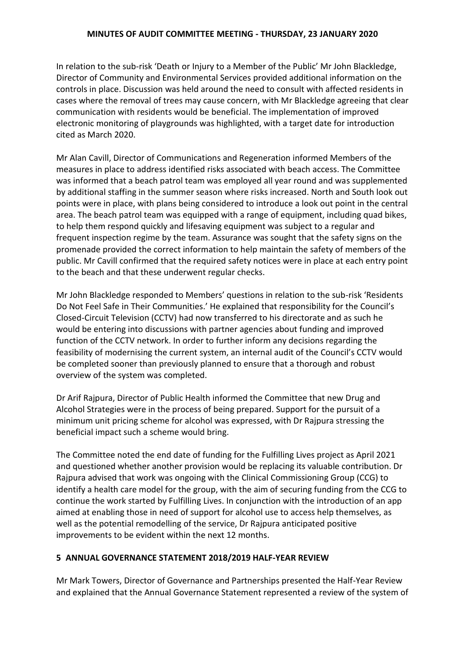#### **MINUTES OF AUDIT COMMITTEE MEETING - THURSDAY, 23 JANUARY 2020**

In relation to the sub-risk 'Death or Injury to a Member of the Public' Mr John Blackledge, Director of Community and Environmental Services provided additional information on the controls in place. Discussion was held around the need to consult with affected residents in cases where the removal of trees may cause concern, with Mr Blackledge agreeing that clear communication with residents would be beneficial. The implementation of improved electronic monitoring of playgrounds was highlighted, with a target date for introduction cited as March 2020.

Mr Alan Cavill, Director of Communications and Regeneration informed Members of the measures in place to address identified risks associated with beach access. The Committee was informed that a beach patrol team was employed all year round and was supplemented by additional staffing in the summer season where risks increased. North and South look out points were in place, with plans being considered to introduce a look out point in the central area. The beach patrol team was equipped with a range of equipment, including quad bikes, to help them respond quickly and lifesaving equipment was subject to a regular and frequent inspection regime by the team. Assurance was sought that the safety signs on the promenade provided the correct information to help maintain the safety of members of the public. Mr Cavill confirmed that the required safety notices were in place at each entry point to the beach and that these underwent regular checks.

Mr John Blackledge responded to Members' questions in relation to the sub-risk 'Residents Do Not Feel Safe in Their Communities.' He explained that responsibility for the Council's Closed-Circuit Television (CCTV) had now transferred to his directorate and as such he would be entering into discussions with partner agencies about funding and improved function of the CCTV network. In order to further inform any decisions regarding the feasibility of modernising the current system, an internal audit of the Council's CCTV would be completed sooner than previously planned to ensure that a thorough and robust overview of the system was completed.

Dr Arif Rajpura, Director of Public Health informed the Committee that new Drug and Alcohol Strategies were in the process of being prepared. Support for the pursuit of a minimum unit pricing scheme for alcohol was expressed, with Dr Rajpura stressing the beneficial impact such a scheme would bring.

The Committee noted the end date of funding for the Fulfilling Lives project as April 2021 and questioned whether another provision would be replacing its valuable contribution. Dr Rajpura advised that work was ongoing with the Clinical Commissioning Group (CCG) to identify a health care model for the group, with the aim of securing funding from the CCG to continue the work started by Fulfilling Lives. In conjunction with the introduction of an app aimed at enabling those in need of support for alcohol use to access help themselves, as well as the potential remodelling of the service, Dr Rajpura anticipated positive improvements to be evident within the next 12 months.

# **5 ANNUAL GOVERNANCE STATEMENT 2018/2019 HALF-YEAR REVIEW**

Mr Mark Towers, Director of Governance and Partnerships presented the Half-Year Review and explained that the Annual Governance Statement represented a review of the system of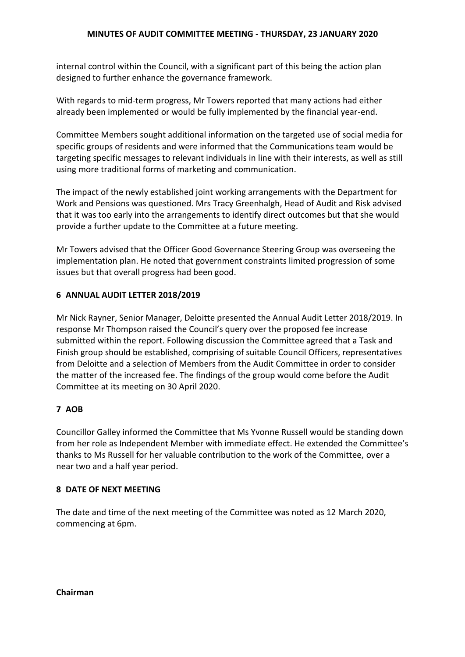internal control within the Council, with a significant part of this being the action plan designed to further enhance the governance framework.

With regards to mid-term progress, Mr Towers reported that many actions had either already been implemented or would be fully implemented by the financial year-end.

Committee Members sought additional information on the targeted use of social media for specific groups of residents and were informed that the Communications team would be targeting specific messages to relevant individuals in line with their interests, as well as still using more traditional forms of marketing and communication.

The impact of the newly established joint working arrangements with the Department for Work and Pensions was questioned. Mrs Tracy Greenhalgh, Head of Audit and Risk advised that it was too early into the arrangements to identify direct outcomes but that she would provide a further update to the Committee at a future meeting.

Mr Towers advised that the Officer Good Governance Steering Group was overseeing the implementation plan. He noted that government constraints limited progression of some issues but that overall progress had been good.

# **6 ANNUAL AUDIT LETTER 2018/2019**

Mr Nick Rayner, Senior Manager, Deloitte presented the Annual Audit Letter 2018/2019. In response Mr Thompson raised the Council's query over the proposed fee increase submitted within the report. Following discussion the Committee agreed that a Task and Finish group should be established, comprising of suitable Council Officers, representatives from Deloitte and a selection of Members from the Audit Committee in order to consider the matter of the increased fee. The findings of the group would come before the Audit Committee at its meeting on 30 April 2020.

# **7 AOB**

Councillor Galley informed the Committee that Ms Yvonne Russell would be standing down from her role as Independent Member with immediate effect. He extended the Committee's thanks to Ms Russell for her valuable contribution to the work of the Committee, over a near two and a half year period.

# **8 DATE OF NEXT MEETING**

The date and time of the next meeting of the Committee was noted as 12 March 2020, commencing at 6pm.